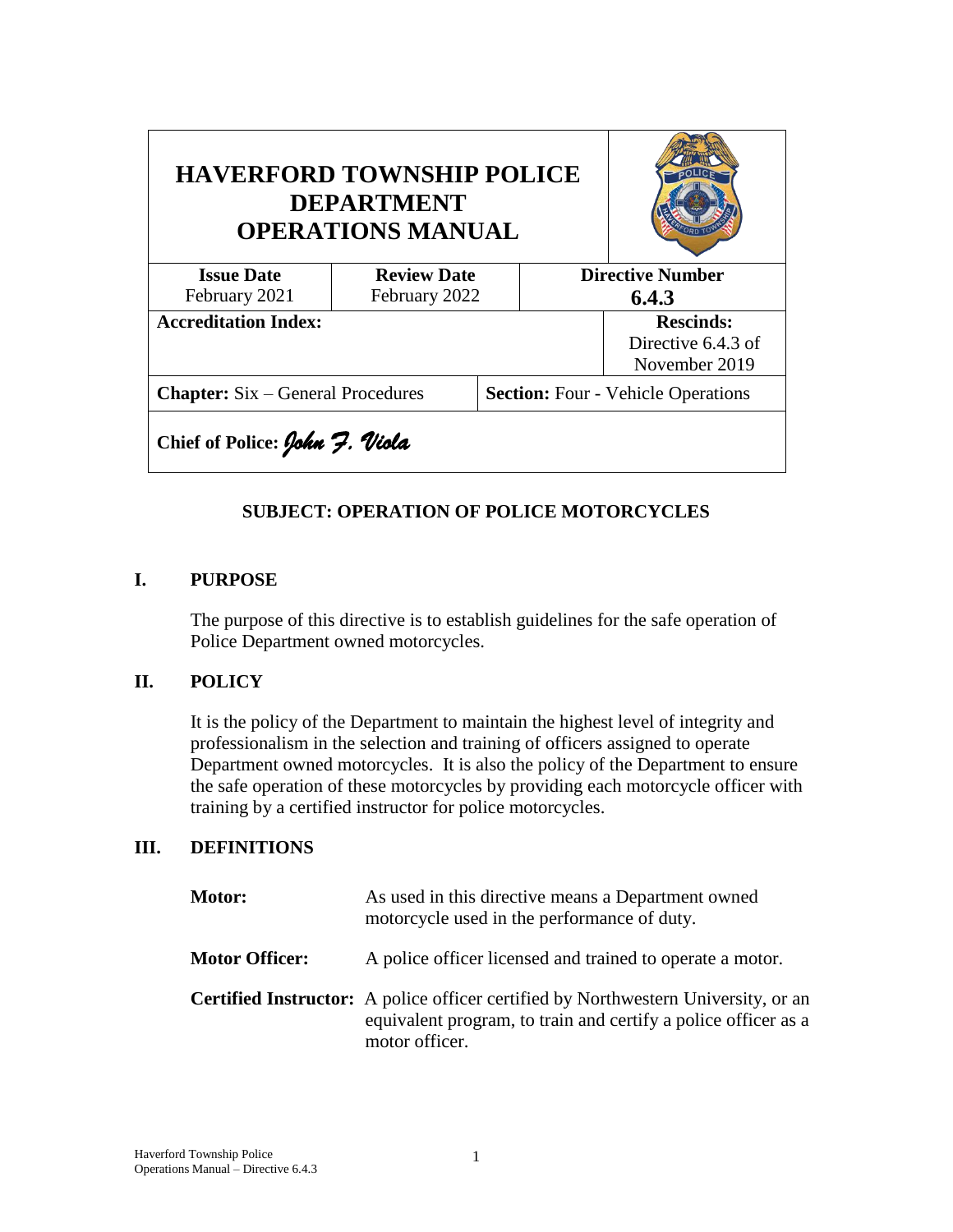| <b>HAVERFORD TOWNSHIP POLICE</b><br><b>DEPARTMENT</b><br><b>OPERATIONS MANUAL</b> |                    |  |                                           |                                                         |  |
|-----------------------------------------------------------------------------------|--------------------|--|-------------------------------------------|---------------------------------------------------------|--|
| <b>Issue Date</b>                                                                 | <b>Review Date</b> |  |                                           | <b>Directive Number</b>                                 |  |
| February 2021                                                                     | February 2022      |  | 6.4.3                                     |                                                         |  |
| <b>Accreditation Index:</b>                                                       |                    |  |                                           | <b>Rescinds:</b><br>Directive 6.4.3 of<br>November 2019 |  |
| <b>Chapter:</b> Six – General Procedures                                          |                    |  | <b>Section:</b> Four - Vehicle Operations |                                                         |  |
| Chief of Police: John 7. Viola                                                    |                    |  |                                           |                                                         |  |

## **SUBJECT: OPERATION OF POLICE MOTORCYCLES**

#### **I. PURPOSE**

The purpose of this directive is to establish guidelines for the safe operation of Police Department owned motorcycles.

## **II. POLICY**

It is the policy of the Department to maintain the highest level of integrity and professionalism in the selection and training of officers assigned to operate Department owned motorcycles. It is also the policy of the Department to ensure the safe operation of these motorcycles by providing each motorcycle officer with training by a certified instructor for police motorcycles.

## **III. DEFINITIONS**

| <b>Motor:</b>         | As used in this directive means a Department owned<br>motorcycle used in the performance of duty.                                                                             |
|-----------------------|-------------------------------------------------------------------------------------------------------------------------------------------------------------------------------|
| <b>Motor Officer:</b> | A police officer licensed and trained to operate a motor.                                                                                                                     |
|                       | <b>Certified Instructor:</b> A police officer certified by Northwestern University, or an<br>equivalent program, to train and certify a police officer as a<br>motor officer. |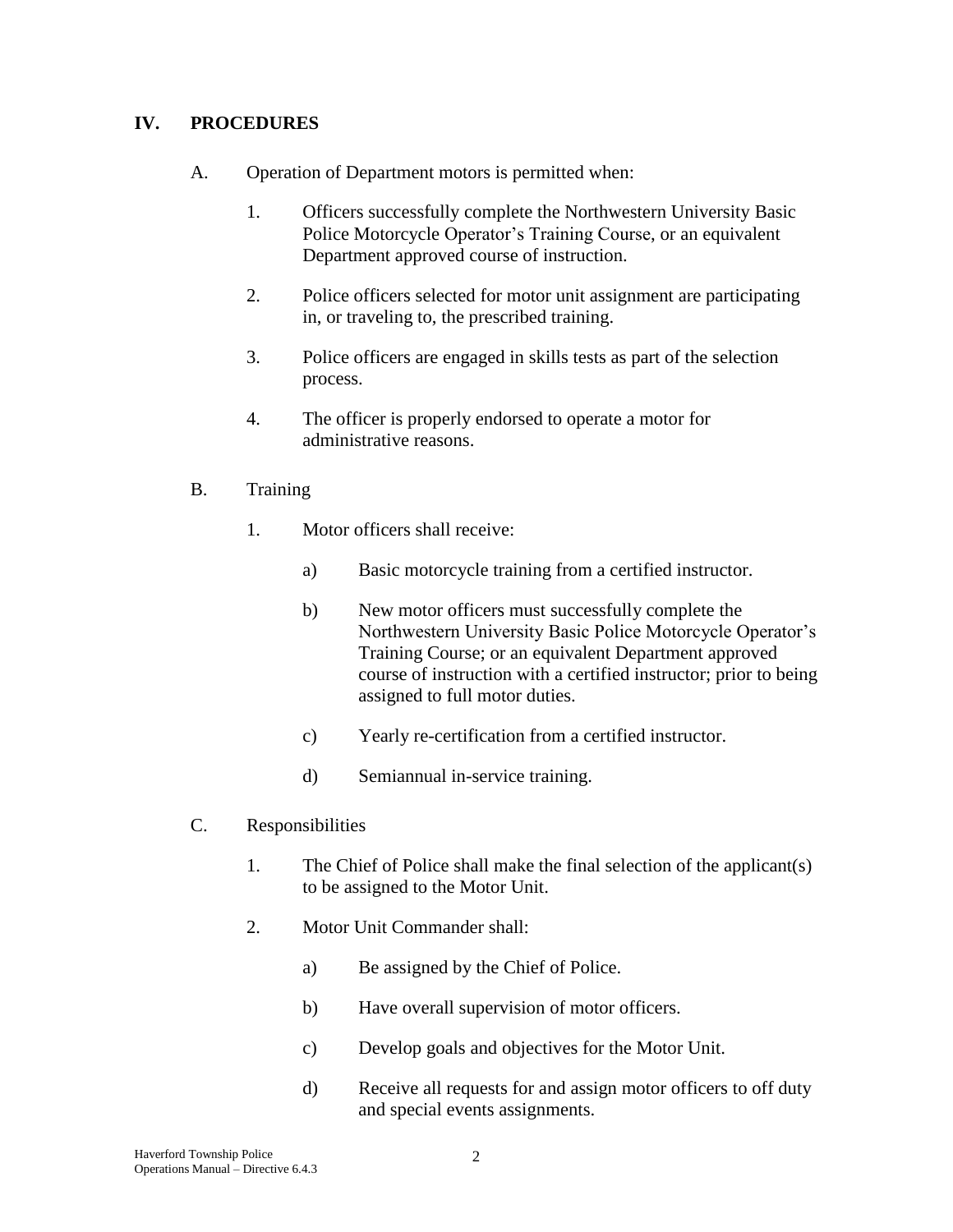## **IV. PROCEDURES**

- A. Operation of Department motors is permitted when:
	- 1. Officers successfully complete the Northwestern University Basic Police Motorcycle Operator's Training Course, or an equivalent Department approved course of instruction.
	- 2. Police officers selected for motor unit assignment are participating in, or traveling to, the prescribed training.
	- 3. Police officers are engaged in skills tests as part of the selection process.
	- 4. The officer is properly endorsed to operate a motor for administrative reasons.

#### B. Training

- 1. Motor officers shall receive:
	- a) Basic motorcycle training from a certified instructor.
	- b) New motor officers must successfully complete the Northwestern University Basic Police Motorcycle Operator's Training Course; or an equivalent Department approved course of instruction with a certified instructor; prior to being assigned to full motor duties.
	- c) Yearly re-certification from a certified instructor.
	- d) Semiannual in-service training.

#### C. Responsibilities

- 1. The Chief of Police shall make the final selection of the applicant(s) to be assigned to the Motor Unit.
- 2. Motor Unit Commander shall:
	- a) Be assigned by the Chief of Police.
	- b) Have overall supervision of motor officers.
	- c) Develop goals and objectives for the Motor Unit.
	- d) Receive all requests for and assign motor officers to off duty and special events assignments.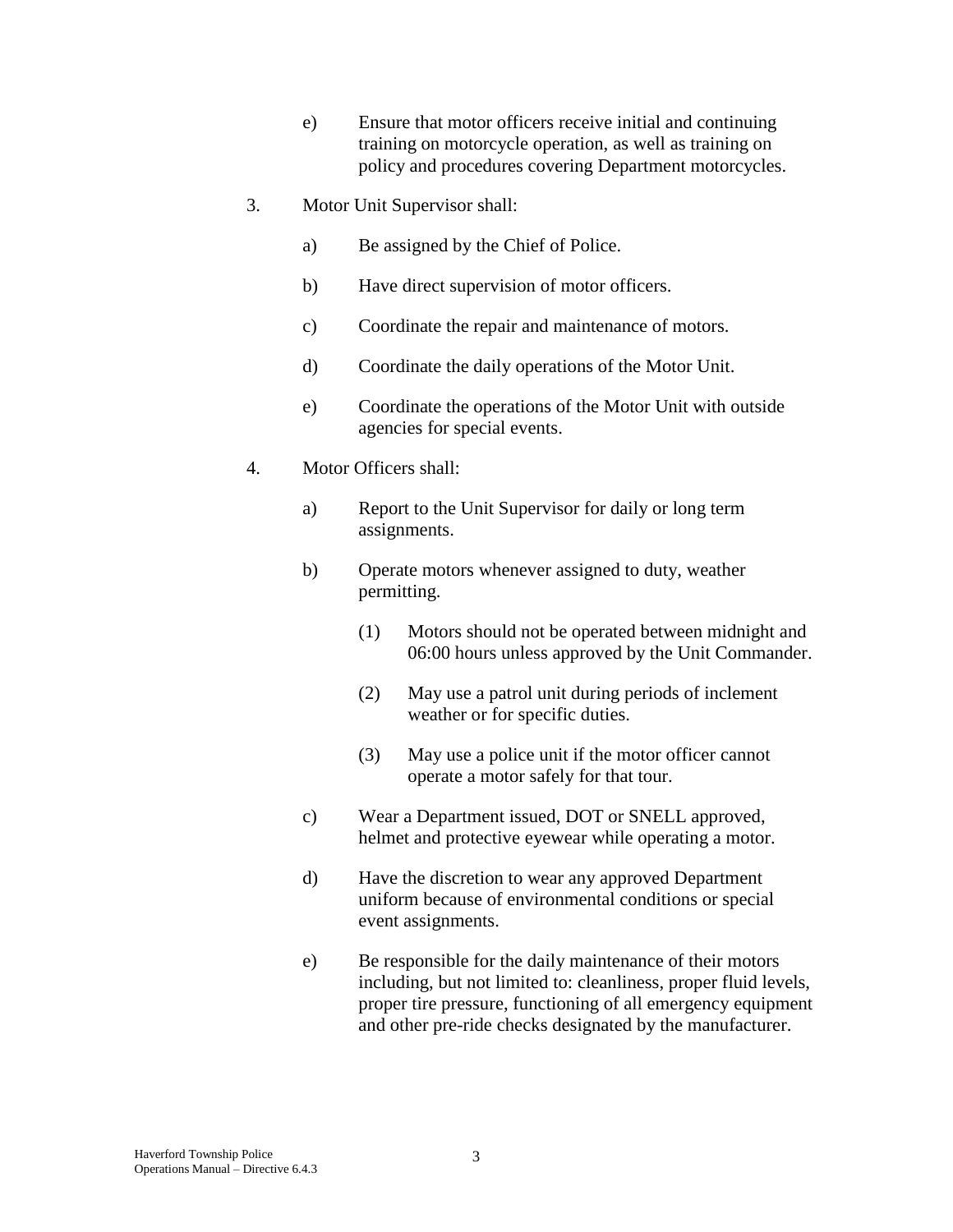- e) Ensure that motor officers receive initial and continuing training on motorcycle operation, as well as training on policy and procedures covering Department motorcycles.
- 3. Motor Unit Supervisor shall:
	- a) Be assigned by the Chief of Police.
	- b) Have direct supervision of motor officers.
	- c) Coordinate the repair and maintenance of motors.
	- d) Coordinate the daily operations of the Motor Unit.
	- e) Coordinate the operations of the Motor Unit with outside agencies for special events.
- 4. Motor Officers shall:
	- a) Report to the Unit Supervisor for daily or long term assignments.
	- b) Operate motors whenever assigned to duty, weather permitting.
		- (1) Motors should not be operated between midnight and 06:00 hours unless approved by the Unit Commander.
		- (2) May use a patrol unit during periods of inclement weather or for specific duties.
		- (3) May use a police unit if the motor officer cannot operate a motor safely for that tour.
	- c) Wear a Department issued, DOT or SNELL approved, helmet and protective eyewear while operating a motor.
	- d) Have the discretion to wear any approved Department uniform because of environmental conditions or special event assignments.
	- e) Be responsible for the daily maintenance of their motors including, but not limited to: cleanliness, proper fluid levels, proper tire pressure, functioning of all emergency equipment and other pre-ride checks designated by the manufacturer.